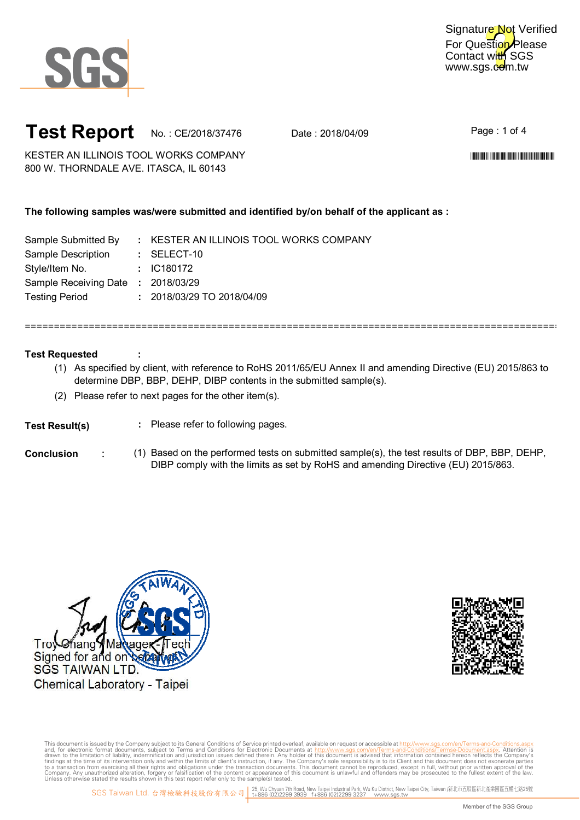

For Question Please Contact with SGS www.sgs.com.tw Signature Not Verified

## **Test Report** No.: CE/2018/37476 Date: 2018/04/09

Page : 1 of 4

\*CE/2018/37476\*CE/2018/37476\*CE/2018/37476\*CE/2018

KESTER AN ILLINOIS TOOL WORKS COMPANY 800 W. THORNDALE AVE. ITASCA, IL 60143

### **The following samples was/were submitted and identified by/on behalf of the applicant as :**

| Sample Submitted By                | : KESTER AN ILLINOIS TOOL WORKS COMPANY |
|------------------------------------|-----------------------------------------|
| Sample Description                 | $:$ SELECT-10                           |
| Style/Item No.                     | : IC180172                              |
| Sample Receiving Date : 2018/03/29 |                                         |
| <b>Testing Period</b>              | : 2018/03/29 TO 2018/04/09              |

#### **Test Requested**

(1) As specified by client, with reference to RoHS 2011/65/EU Annex II and amending Directive (EU) 2015/863 to determine DBP, BBP, DEHP, DIBP contents in the submitted sample(s).

============================================================================================

(2) Please refer to next pages for the other item(s).

#### **:** Please refer to following pages. **Test Result(s)**

**:**

**Conclusion** : (1) Based on the performed tests on submitted sample(s), the test results of DBP, BBP, DEHP, DIBP comply with the limits as set by RoHS and amending Directive (EU) 2015/863.



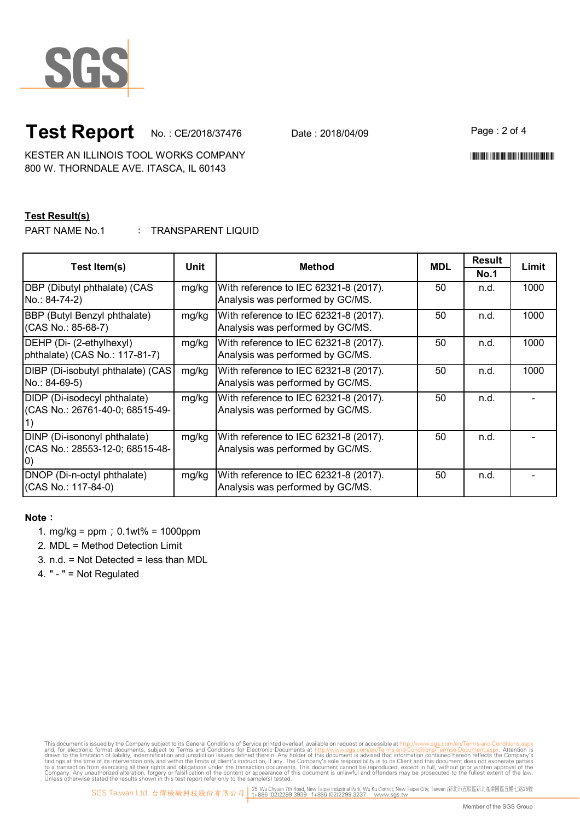

# **Test Report** No.: CE/2018/37476 Date: 2018/04/09

Page : 2 of 4

\*CE/2018/37476\*CE/2018/37476\*CE/2018/37476\*CE/2018

KESTER AN ILLINOIS TOOL WORKS COMPANY 800 W. THORNDALE AVE. ITASCA, IL 60143

#### **Test Result(s)**

: PART NAME No.1 TRANSPARENT LIQUID

| Test Item(s)                      | Unit  | <b>Method</b>                         | <b>MDL</b> | <b>Result</b> | Limit |
|-----------------------------------|-------|---------------------------------------|------------|---------------|-------|
|                                   |       |                                       |            | <b>No.1</b>   |       |
| DBP (Dibutyl phthalate) (CAS      | mg/kg | With reference to IEC 62321-8 (2017). | 50         | n.d.          | 1000  |
| No.: 84-74-2)                     |       | Analysis was performed by GC/MS.      |            |               |       |
| BBP (Butyl Benzyl phthalate)      | mg/kg | With reference to IEC 62321-8 (2017). | 50         | n.d.          | 1000  |
| (CAS No.: 85-68-7)                |       | Analysis was performed by GC/MS.      |            |               |       |
| DEHP (Di- (2-ethylhexyl)          | mg/kg | With reference to IEC 62321-8 (2017). | 50         | n.d.          | 1000  |
| phthalate) (CAS No.: 117-81-7)    |       | Analysis was performed by GC/MS.      |            |               |       |
| DIBP (Di-isobutyl phthalate) (CAS | mg/kg | With reference to IEC 62321-8 (2017). | 50         | n.d.          | 1000  |
| No.: 84-69-5)                     |       | Analysis was performed by GC/MS.      |            |               |       |
| DIDP (Di-isodecyl phthalate)      | mg/kg | With reference to IEC 62321-8 (2017). | 50         | n.d.          |       |
| (CAS No.: 26761-40-0; 68515-49-   |       | Analysis was performed by GC/MS.      |            |               |       |
|                                   |       |                                       |            |               |       |
| DINP (Di-isononyl phthalate)      | mg/kg | With reference to IEC 62321-8 (2017). | 50         | n.d.          |       |
| (CAS No.: 28553-12-0; 68515-48-   |       | Analysis was performed by GC/MS.      |            |               |       |
|                                   |       |                                       |            |               |       |
| DNOP (Di-n-octyl phthalate)       | mg/kg | With reference to IEC 62321-8 (2017). | 50         | n.d.          |       |
| (CAS No.: 117-84-0)               |       | Analysis was performed by GC/MS.      |            |               |       |

#### **Note**:

- 1. mg/kg = ppm;0.1wt% = 1000ppm
- 2. MDL = Method Detection Limit
- 3. n.d. = Not Detected = less than MDL

4. " - " = Not Regulated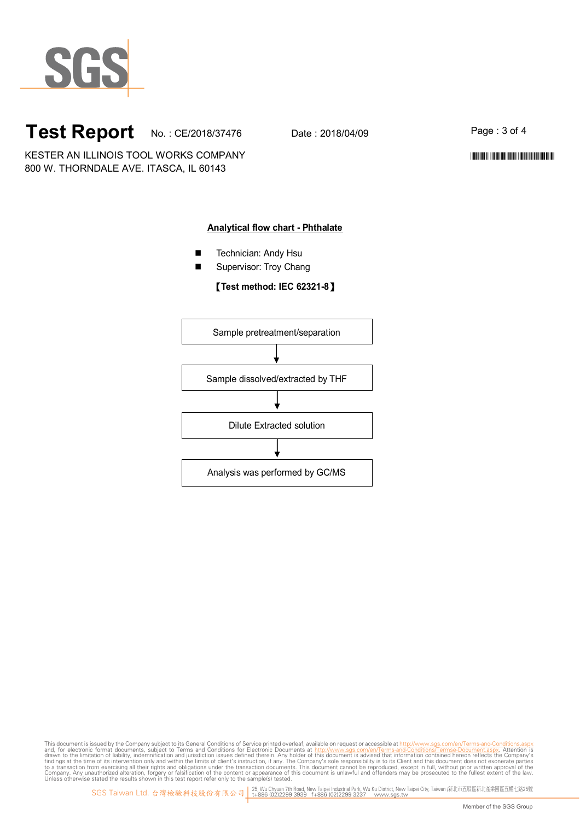

# **Test Report** No.: CE/2018/37476 Date: 2018/04/09

Page : 3 of 4

\*CE/2018/37476\*CE/2018/37476\*CE/2018/37476\*CE/2018

KESTER AN ILLINOIS TOOL WORKS COMPANY 800 W. THORNDALE AVE. ITASCA, IL 60143

#### **Analytical flow chart - Phthalate**

- **Technician: Andy Hsu**
- Supervisor: Troy Chang

#### 【**Test method: IEC 62321-8**】